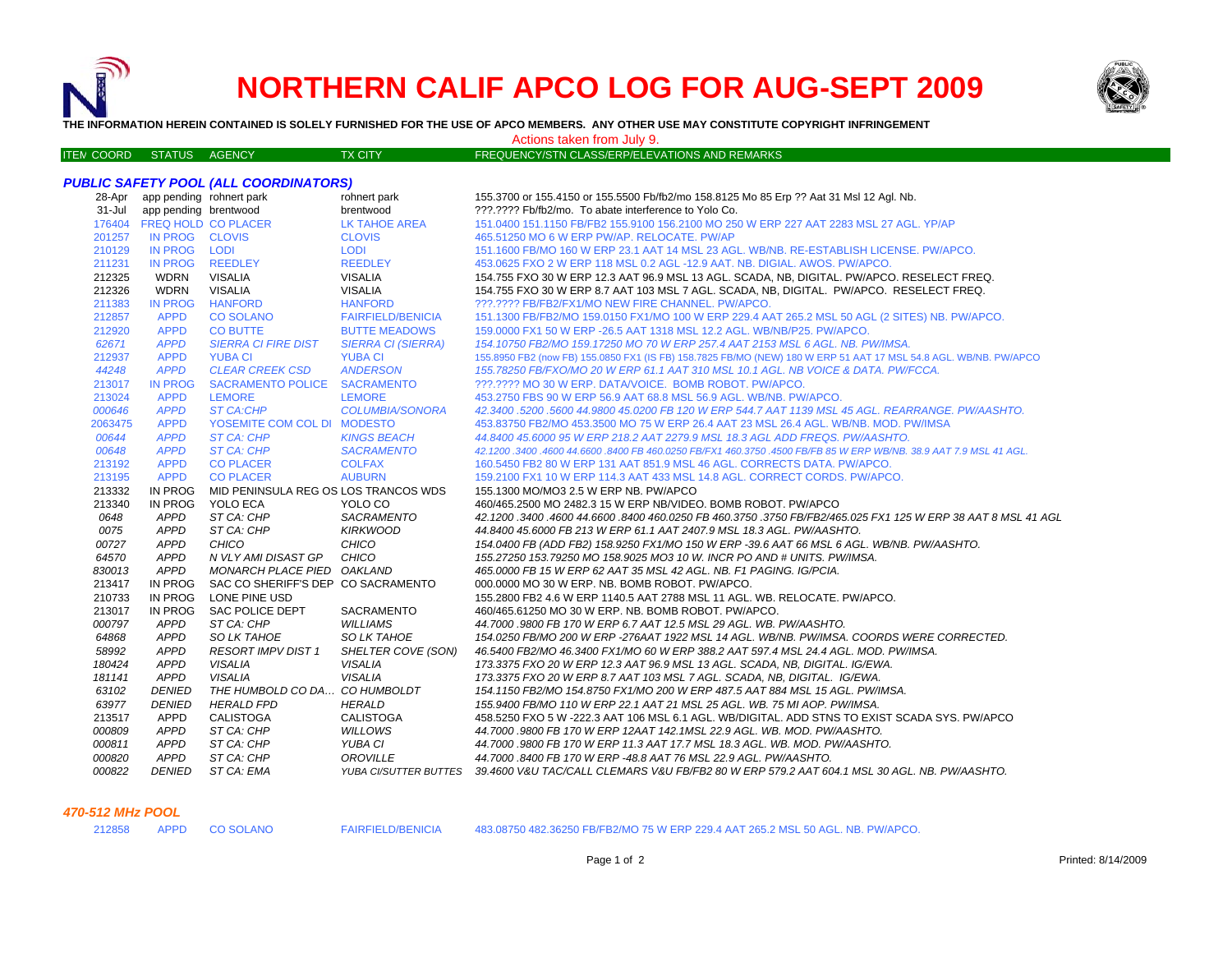

# **NORTHERN CALIF APCO LOG FOR AUG-SEPT 2009**



**THE INFORMATION HEREIN CONTAINED IS SOLELY FURNISHED FOR THE USE OF APCO MEMBERS. ANY OTHER USE MAY CONSTITUTE COPYRIGHT INFRINGEMENT**

TY CITY **EDENIEM STATUS AGENCY TRANSPORT CLASS/EDD/ELEVATIONS AND DEMARKS** Actions taken from July 9.

| ITEN COORD  STATUS  AGENCY |                                 |                                              | TX CITY                   | FREQUENCY/STN CLASS/ERP/ELEVATIONS AND REMARKS                                                                    |
|----------------------------|---------------------------------|----------------------------------------------|---------------------------|-------------------------------------------------------------------------------------------------------------------|
|                            |                                 |                                              |                           |                                                                                                                   |
|                            |                                 | <b>PUBLIC SAFETY POOL (ALL COORDINATORS)</b> |                           |                                                                                                                   |
|                            | 28-Apr app pending rohnert park |                                              | rohnert park              | 155.3700 or 155.4150 or 155.5500 Fb/fb2/mo 158.8125 Mo 85 Erp ?? Aat 31 Msl 12 Agl. Nb.                           |
|                            | 31-Jul app pending brentwood    |                                              | brentwood                 | ???.???? Fb/fb2/mo. To abate interference to Yolo Co.                                                             |
|                            | 176404 FREQ HOLD CO PLACER      |                                              | <b>LK TAHOE AREA</b>      | 151.0400 151.1150 FB/FB2 155.9100 156.2100 MO 250 W ERP 227 AAT 2283 MSL 27 AGL. YP/AP                            |
| 201257                     | IN PROG CLOVIS                  |                                              | <b>CLOVIS</b>             | 465.51250 MO 6 W ERP PW/AP, RELOCATE, PW/AP                                                                       |
| 210129                     | IN PROG LODI                    |                                              | <b>LODI</b>               | 151.1600 FB/MO 160 W ERP 23.1 AAT 14 MSL 23 AGL, WB/NB, RE-ESTABLISH LICENSE, PW/APCO,                            |
| 211231                     | IN PROG REEDLEY                 |                                              | <b>REEDLEY</b>            | 453,0625 FXO 2 W ERP 118 MSL 0.2 AGL -12.9 AAT, NB, DIGIAL, AWOS, PW/APCO,                                        |
| 212325                     | <b>WDRN</b>                     | <b>VISALIA</b>                               | <b>VISALIA</b>            | 154.755 FXO 30 W ERP 12.3 AAT 96.9 MSL 13 AGL. SCADA, NB, DIGITAL. PW/APCO. RESELECT FREQ.                        |
| 212326                     | <b>WDRN</b>                     | <b>VISALIA</b>                               | <b>VISALIA</b>            | 154.755 FXO 30 W ERP 8.7 AAT 103 MSL 7 AGL. SCADA, NB, DIGITAL. PW/APCO. RESELECT FREQ.                           |
| 211383                     | <b>IN PROG</b>                  | <b>HANFORD</b>                               | <b>HANFORD</b>            | ???.???? FB/FB2/FX1/MO NEW FIRE CHANNEL. PW/APCO.                                                                 |
| 212857                     | <b>APPD</b>                     | <b>CO SOLANO</b>                             | <b>FAIRFIELD/BENICIA</b>  | 151.1300 FB/FB2/MO 159.0150 FX1/MO 100 W ERP 229.4 AAT 265.2 MSL 50 AGL (2 SITES) NB. PW/APCO.                    |
| 212920                     | <b>APPD</b>                     | <b>CO BUTTE</b>                              | <b>BUTTE MEADOWS</b>      | 159.0000 FX1 50 W ERP -26.5 AAT 1318 MSL 12.2 AGL. WB/NB/P25. PW/APCO.                                            |
| 62671                      | <b>APPD</b>                     | <b>SIERRA CI FIRE DIST</b>                   | <b>SIERRA CI (SIERRA)</b> | 154.10750 FB2/MO 159.17250 MO 70 W ERP 257.4 AAT 2153 MSL 6 AGL. NB. PW/IMSA.                                     |
| 212937                     | <b>APPD</b>                     | <b>YUBA CI</b>                               | <b>YUBA CI</b>            | 155.8950 FB2 (now FB) 155.0850 FX1 (IS FB) 158.7825 FB/MO (NEW) 180 W ERP 51 AAT 17 MSL 54.8 AGL. WB/NB. PW/APCO  |
| 44248                      | <b>APPD</b>                     | <b>CLEAR CREEK CSD</b>                       | <b>ANDERSON</b>           | 155.78250 FB/FXO/MO 20 W ERP 61.1 AAT 310 MSL 10.1 AGL. NB VOICE & DATA. PW/FCCA.                                 |
| 213017                     | <b>IN PROG</b>                  | SACRAMENTO POLICE SACRAMENTO                 |                           | ???.???? MO 30 W ERP. DATA/VOICE. BOMB ROBOT. PW/APCO.                                                            |
| 213024                     | <b>APPD</b>                     | <b>LEMORE</b>                                | <b>LEMORE</b>             | 453.2750 FBS 90 W ERP 56.9 AAT 68.8 MSL 56.9 AGL, WB/NB, PW/APCO,                                                 |
| 000646                     | <b>APPD</b>                     | <b>ST CA:CHP</b>                             | COLUMBIA/SONORA           | 42.3400.5200.5600 44.9800 45.0200 FB 120 W ERP 544.7 AAT 1139 MSL 45 AGL. REARRANGE. PW/AASHTO.                   |
| 2063475                    | <b>APPD</b>                     | YOSEMITE COM COL DI MODESTO                  |                           | 453.83750 FB2/MO 453.3500 MO 75 W ERP 26.4 AAT 23 MSL 26.4 AGL, WB/NB, MOD, PW/IMSA                               |
| 00644                      | <b>APPD</b>                     | ST CA: CHP                                   | <b>KINGS BEACH</b>        | 44.8400 45.6000 95 W ERP 218.2 AAT 2279.9 MSL 18.3 AGL ADD FREQS. PW/AASHTO.                                      |
| 00648                      | <b>APPD</b>                     | ST CA: CHP                                   | <b>SACRAMENTO</b>         | 42.1200.3400.4600 44.6600.8400 FB 460.0250 FB/FX1 460.3750.4500 FB/FB 85 W ERP WB/NB. 38.9 AAT 7.9 MSL 41 AGL.    |
| 213192                     | <b>APPD</b>                     | <b>CO PLACER</b>                             | <b>COLFAX</b>             | 160.5450 FB2 80 W ERP 131 AAT 851.9 MSL 46 AGL. CORRECTS DATA. PW/APCO.                                           |
| 213195                     | <b>APPD</b>                     | <b>CO PLACER</b>                             | <b>AUBURN</b>             | 159.2100 FX1 10 W ERP 114.3 AAT 433 MSL 14.8 AGL. CORRECT CORDS. PW/APCO.                                         |
| 213332                     | IN PROG                         | MID PENINSULA REG OS LOS TRANCOS WDS         |                           | 155.1300 MO/MO3 2.5 W ERP NB. PW/APCO                                                                             |
| 213340                     | <b>IN PROG</b>                  | YOLO ECA                                     | YOLO CO                   | 460/465.2500 MO 2482.3 15 W ERP NB/VIDEO. BOMB ROBOT. PW/APCO                                                     |
| 0648                       | <b>APPD</b>                     | ST CA: CHP                                   | SACRAMENTO                | 42.1200 .3400 .4600 44.6600 .8400 460.0250 FB 460.3750 .3750 FB/FB2/465.025 FX1 125 W ERP 38 AAT 8 MSL 41 AGL     |
| 0075                       | <b>APPD</b>                     | ST CA: CHP                                   | <b>KIRKWOOD</b>           | 44.8400 45.6000 FB 213 W ERP 61.1 AAT 2407.9 MSL 18.3 AGL. PW/AASHTO.                                             |
| 00727                      | <b>APPD</b>                     | CHICO                                        | CHICO                     | 154.0400 FB (ADD FB2) 158.9250 FX1/MO 150 W ERP -39.6 AAT 66 MSL 6 AGL. WB/NB. PW/AASHTO.                         |
| 64570                      | <b>APPD</b>                     | N VLY AMI DISAST GP                          | CHICO                     | 155.27250 153.79250 MO 158.9025 MO3 10 W. INCR PO AND # UNITS. PW/IMSA.                                           |
| 830013                     | <b>APPD</b>                     | MONARCH PLACE PIED OAKLAND                   |                           | 465,0000 FB 15 W ERP 62 AAT 35 MSL 42 AGL, NB, F1 PAGING, IG/PCIA,                                                |
| 213417                     | IN PROG                         | SAC CO SHERIFF'S DEP CO SACRAMENTO           |                           | 000,0000 MO 30 W ERP. NB. BOMB ROBOT. PW/APCO.                                                                    |
| 210733                     | <b>IN PROG</b>                  | LONE PINE USD                                |                           | 155.2800 FB2 4.6 W ERP 1140.5 AAT 2788 MSL 11 AGL. WB. RELOCATE. PW/APCO.                                         |
| 213017                     | <b>IN PROG</b>                  | SAC POLICE DEPT                              | <b>SACRAMENTO</b>         | 460/465.61250 MO 30 W ERP. NB. BOMB ROBOT. PW/APCO.                                                               |
| 000797                     | <b>APPD</b>                     | ST CA: CHP                                   | <b>WILLIAMS</b>           | 44.7000 .9800 FB 170 W ERP 6.7 AAT 12.5 MSL 29 AGL. WB. PW/AASHTO.                                                |
| 64868                      | <b>APPD</b>                     | <b>SO LK TAHOE</b>                           | <b>SO LK TAHOE</b>        | 154.0250 FB/MO 200 W ERP -276AAT 1922 MSL 14 AGL, WB/NB, PW/IMSA, COORDS WERE CORRECTED.                          |
| 58992                      | <b>APPD</b>                     | <b>RESORT IMPV DIST 1</b>                    | SHELTER COVE (SON)        | 46.5400 FB2/MO 46.3400 FX1/MO 60 W ERP 388.2 AAT 597.4 MSL 24.4 AGL. MOD. PW/IMSA.                                |
| 180424                     | <b>APPD</b>                     | <b>VISALIA</b>                               | <b>VISALIA</b>            | 173.3375 FXO 20 W ERP 12.3 AAT 96.9 MSL 13 AGL. SCADA, NB, DIGITAL. IG/EWA.                                       |
| 181141                     | <b>APPD</b>                     | <b>VISALIA</b>                               | <b>VISALIA</b>            | 173.3375 FXO 20 W ERP 8.7 AAT 103 MSL 7 AGL. SCADA, NB, DIGITAL. IG/EWA.                                          |
| 63102                      | <b>DENIED</b>                   | THE HUMBOLD CO DA CO HUMBOLDT                |                           | 154.1150 FB2/MO 154.8750 FX1/MO 200 W ERP 487.5 AAT 884 MSL 15 AGL. PW/IMSA.                                      |
| 63977                      | <b>DENIED</b>                   | <b>HERALD FPD</b>                            | <b>HERALD</b>             | 155.9400 FB/MO 110 W ERP 22.1 AAT 21 MSL 25 AGL. WB. 75 MI AOP. PW/IMSA.                                          |
| 213517                     | APPD                            | <b>CALISTOGA</b>                             | <b>CALISTOGA</b>          | 458.5250 FXO 5 W -222.3 AAT 106 MSL 6.1 AGL. WB/DIGITAL. ADD STNS TO EXIST SCADA SYS. PW/APCO                     |
| 000809                     | <b>APPD</b>                     | ST CA: CHP                                   | WILLOWS                   | 44.7000.9800 FB 170 W ERP 12AAT 142.1MSL 22.9 AGL. WB. MOD. PW/AASHTO.                                            |
| 000811                     | <b>APPD</b>                     | ST CA: CHP                                   | YUBA CI                   | 44.7000.9800 FB 170 W ERP 11.3 AAT 17.7 MSL 18.3 AGL. WB. MOD. PW/AASHTO.                                         |
| 000820                     | <b>APPD</b>                     | ST CA: CHP                                   | OROVILLE                  | 44.7000.8400 FB 170 W ERP -48.8 AAT 76 MSL 22.9 AGL. PW/AASHTO.                                                   |
| 000822                     | <b>DENIED</b>                   | ST CA: EMA                                   |                           | YUBA CI/SUTTER BUTTES 39.4600 V&U TAC/CALL CLEMARS V&U FB/FB2 80 W ERP 579.2 AAT 604.1 MSL 30 AGL. NB. PW/AASHTO. |
|                            |                                 |                                              |                           |                                                                                                                   |

### *470-512 MHz POOL*

APPD CO SOLANO FAIRFIELD/BENICIA 483.08750 482.36250 FB/FB2/MO 75 W ERP 229.4 AAT 265.2 MSL 50 AGL. NB. PW/APCO.